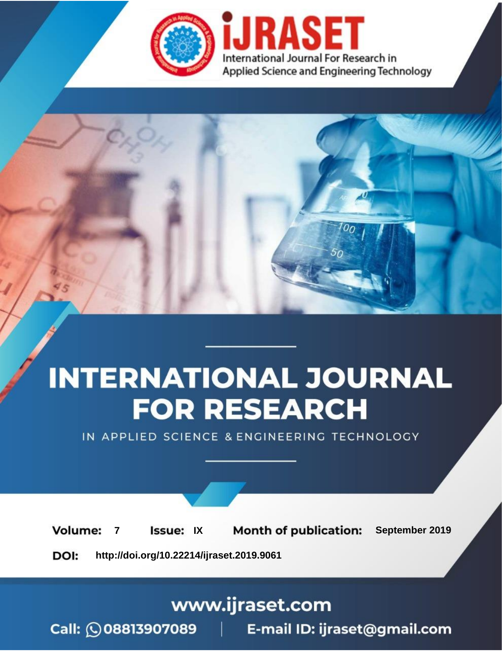

# **INTERNATIONAL JOURNAL FOR RESEARCH**

IN APPLIED SCIENCE & ENGINEERING TECHNOLOGY

**Month of publication: Volume: Issue: IX** September 2019  $\overline{7}$ DOI: http://doi.org/10.22214/ijraset.2019.9061

www.ijraset.com

 $Call: \bigcirc$ 08813907089 E-mail ID: ijraset@gmail.com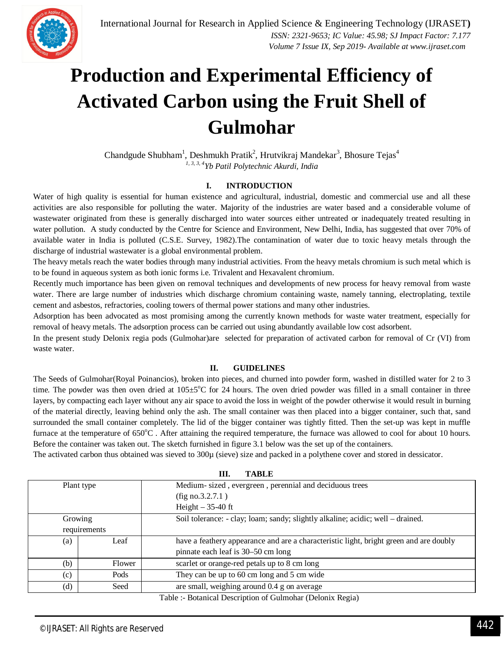

### **Production and Experimental Efficiency of Activated Carbon using the Fruit Shell of Gulmohar**

Chandgude Shubham<sup>1</sup>, Deshmukh Pratik<sup>2</sup>, Hrutvikraj Mandekar<sup>3</sup>, Bhosure Tejas<sup>4</sup> *1, 3, 3, 4Yb Patil Polytechnic Akurdi, India*

#### **I. INTRODUCTION**

Water of high quality is essential for human existence and agricultural, industrial, domestic and commercial use and all these activities are also responsible for polluting the water. Majority of the industries are water based and a considerable volume of wastewater originated from these is generally discharged into water sources either untreated or inadequately treated resulting in water pollution. A study conducted by the Centre for Science and Environment, New Delhi, India, has suggested that over 70% of available water in India is polluted (C.S.E. Survey, 1982).The contamination of water due to toxic heavy metals through the discharge of industrial wastewater is a global environmental problem.

The heavy metals reach the water bodies through many industrial activities. From the heavy metals chromium is such metal which is to be found in aqueous system as both ionic forms i.e. Trivalent and Hexavalent chromium.

Recently much importance has been given on removal techniques and developments of new process for heavy removal from waste water. There are large number of industries which discharge chromium containing waste, namely tanning, electroplating, textile cement and asbestos, refractories, cooling towers of thermal power stations and many other industries.

Adsorption has been advocated as most promising among the currently known methods for waste water treatment, especially for removal of heavy metals. The adsorption process can be carried out using abundantly available low cost adsorbent.

In the present study Delonix regia pods (Gulmohar)are selected for preparation of activated carbon for removal of Cr (VI) from waste water.

#### **II. GUIDELINES**

The Seeds of Gulmohar(Royal Poinancios), broken into pieces, and churned into powder form, washed in distilled water for 2 to 3 time. The powder was then oven dried at  $105\pm5^{\circ}$ C for 24 hours. The oven dried powder was filled in a small container in three layers, by compacting each layer without any air space to avoid the loss in weight of the powder otherwise it would result in burning of the material directly, leaving behind only the ash. The small container was then placed into a bigger container, such that, sand surrounded the small container completely. The lid of the bigger container was tightly fitted. Then the set-up was kept in muffle furnace at the temperature of 650°C. After attaining the required temperature, the furnace was allowed to cool for about 10 hours. Before the container was taken out. The sketch furnished in figure 3.1 below was the set up of the containers.

The activated carbon thus obtained was sieved to 300 $\mu$  (sieve) size and packed in a polythene cover and stored in dessicator.

**III. TABLE**

| ш.<br>TADLE  |        |                                                                                        |
|--------------|--------|----------------------------------------------------------------------------------------|
| Plant type   |        | Medium-sized, evergreen, perennial and deciduous trees                                 |
|              |        | $(fig \text{ no.3.2.7.1})$                                                             |
|              |        | Height $-35-40$ ft                                                                     |
| Growing      |        | Soil tolerance: - clay; loam; sandy; slightly alkaline; acidic; well – drained.        |
| requirements |        |                                                                                        |
| (a)          | Leaf   | have a feathery appearance and are a characteristic light, bright green and are doubly |
|              |        | pinnate each leaf is 30–50 cm long                                                     |
| (b)          | Flower | scarlet or orange-red petals up to 8 cm long                                           |
| (c)          | Pods   | They can be up to 60 cm long and 5 cm wide                                             |
| (d)          | Seed   | are small, weighing around 0.4 g on average                                            |
|              |        | $T:11$ $D:111$ $D:111$ $C:11$ $D:11$ $D:1$                                             |

Table :- Botanical Description of Gulmohar (Delonix Regia)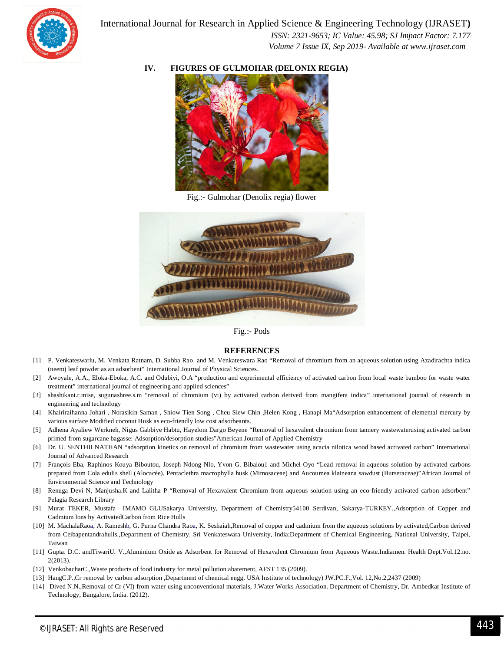

 *ISSN: 2321-9653; IC Value: 45.98; SJ Impact Factor: 7.177 Volume 7 Issue IX, Sep 2019- Available at www.ijraset.com*

#### **IV. FIGURES OF GULMOHAR (DELONIX REGIA)**



Fig.:- Gulmohar (Denolix regia) flower



Fig.:- Pods

#### **REFERENCES**

- [1] P. Venkateswarlu, M. Venkata Ratnam, D. Subba Rao and M. Venkateswara Rao "Removal of chromium from an aqueous solution using Azadirachta indica (neem) leaf powder as an adsorbent" International Journal of Physical Sciences.
- [2] Awoyale, A.A., Eloka-Eboka, A.C. and Odubiyi, O.A "production and experimental efficiency of activated carbon from local waste bamboo for waste water treatment" international journal of engineering and applied sciences"
- [3] shashikant.r.mise, sugunashree.s.m "removal of chromium (vi) by activated carbon derived from mangifera indica" international journal of research in engineering and technology
- [4] Khairiraihanna Johari , Norasikin Saman , Shiow Tien Song , Cheu Siew Chin ,Helen Kong , Hanapi Ma"Adsorption enhancement of elemental mercury by various surface Modified coconut Husk as eco-friendly low cost adsorbeants.
- [5] Adhena Ayaliew Werkneh, Nigus Gabbiye Habtu, Hayelom Dargo Beyene "Removal of hexavalent chromium from tannery wastewaterusing activated carbon primed from sugarcane bagasse: Adsorption/desorption studies"American Journal of Applied Chemistry
- [6] Dr. U. SENTHILNATHAN "adsorption kinetics on removal of chromium from wastewater using acacia nilotica wood based activated carbon" International Journal of Advanced Research
- [7] François Eba, Raphinos Kouya Biboutou, Joseph Ndong Nlo, Yvon G. Bibalou1 and Michel Oyo "Lead removal in aqueous solution by activated carbons prepared from Cola edulis shell (Alocacée), Pentaclethra macrophylla husk (Mimosaceae) and Aucoumea klaineana sawdust (Burseraceae)"African Journal of Environmental Science and Technology
- [8] Renuga Devi N, Manjusha.K and Lalitha P "Removal of Hexavalent Chromium from aqueous solution using an eco-friendly activated carbon adsorbent" Pelagia Research Library
- [9] Murat TEKER, Mustafa \_IMAMO\_GLUSakarya University, Department of Chemistry54100 Serdivan, Sakarya-TURKEY.,Adsorption of Copper and Cadmium lons by ActivatedCarbon from Rice Hulls
- [10] M. MachalaRaoa, A. Rameshb, G. Purna Chandra Raoa, K. Seshaiah,Removal of copper and cadmium from the aqueous solutions by activated,Carbon derived from Ceibapentandrahulls.,Department of Chemistry, Sri Venkateswara University, India;Department of Chemical Engineering, National University, Taipei, Taiwan
- [11] Gupta. D.C. andTiwariU. V.,Aluminium Oxide as Adsorbent for Removal of Hexavalent Chromium from Aqueous Waste.Indiamen. Health Dept.Vol.12.no. 2(2013).
- [12] VenkobacharC.,Waste products of food industry for metal pollution abatement, AFST 135 (2009).
- [13] HangC.P.,Cr removal by carbon adsorption ,Department of chemical engg. USA Institute of technology) JW.PC.F.,Vol. 12,No.2,2437 (2009)
- [14] Dived N.N.,Removal of Cr (VI) from water using unconventional materials, J.Water Works Association. Department of Chemistry, Dr. Ambedkar Institute of Technology, Bangalore, India. (2012).